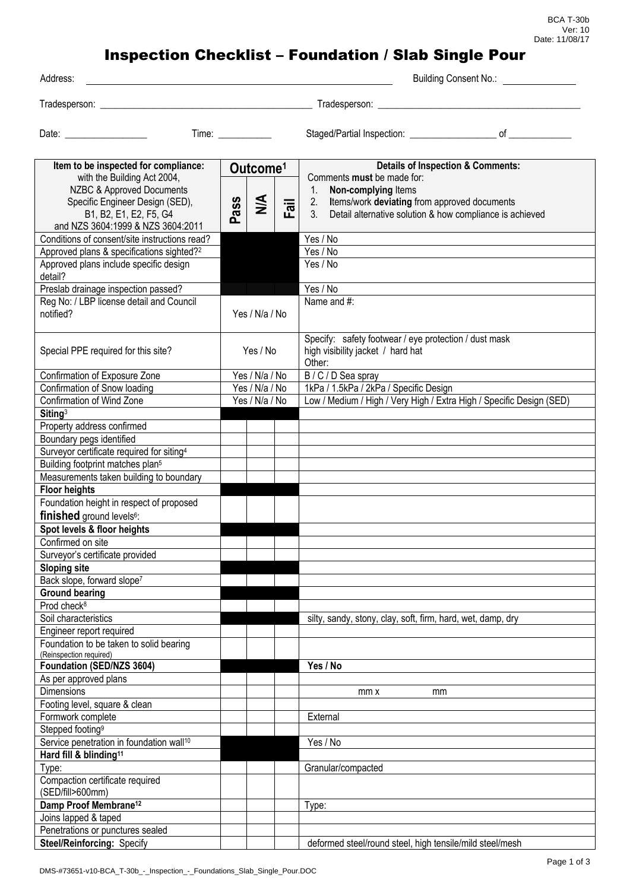## Inspection Checklist – Foundation / Slab Single Pour

| Address:                                                                                                                                                                                           |                                                                                            | <b>Building Consent No.:</b>                                                                                                                                                                                                    |
|----------------------------------------------------------------------------------------------------------------------------------------------------------------------------------------------------|--------------------------------------------------------------------------------------------|---------------------------------------------------------------------------------------------------------------------------------------------------------------------------------------------------------------------------------|
|                                                                                                                                                                                                    |                                                                                            |                                                                                                                                                                                                                                 |
| Date: <u>________________</u>                                                                                                                                                                      |                                                                                            | Staged/Partial Inspection: contact and property of contact and property of contact and property of contact and property of contact and property of contact and property of contact and property of contact and property of con  |
| Item to be inspected for compliance:<br>with the Building Act 2004,<br>NZBC & Approved Documents<br>Specific Engineer Design (SED),<br>B1, B2, E1, E2, F5, G4<br>and NZS 3604:1999 & NZS 3604:2011 | Outcome <sup>1</sup><br>$\frac{4}{2}$<br><b>ass</b><br>$\overline{\overline{5}}$<br>ட<br>൨ | <b>Details of Inspection &amp; Comments:</b><br>Comments must be made for:<br>Non-complying Items<br>1.<br>Items/work deviating from approved documents<br>2.<br>3.<br>Detail alternative solution & how compliance is achieved |
| Conditions of consent/site instructions read?                                                                                                                                                      |                                                                                            | Yes / No                                                                                                                                                                                                                        |
| Approved plans & specifications sighted? <sup>2</sup><br>Approved plans include specific design                                                                                                    |                                                                                            | Yes / No<br>Yes / No                                                                                                                                                                                                            |
| detail?<br>Preslab drainage inspection passed?<br>Reg No: / LBP license detail and Council<br>notified?                                                                                            | Yes / N/a / No                                                                             | Yes / No<br>Name and #:                                                                                                                                                                                                         |
| Special PPE required for this site?                                                                                                                                                                | Yes / No                                                                                   | Specify: safety footwear / eye protection / dust mask<br>high visibility jacket / hard hat<br>Other:                                                                                                                            |
| Confirmation of Exposure Zone                                                                                                                                                                      | Yes / N/a / No                                                                             | B / C / D Sea spray                                                                                                                                                                                                             |
| Confirmation of Snow loading                                                                                                                                                                       | Yes / N/a / No                                                                             | 1kPa / 1.5kPa / 2kPa / Specific Design                                                                                                                                                                                          |
| Confirmation of Wind Zone                                                                                                                                                                          | Yes / N/a / No                                                                             | Low / Medium / High / Very High / Extra High / Specific Design (SED)                                                                                                                                                            |
| Siting <sup>3</sup>                                                                                                                                                                                |                                                                                            |                                                                                                                                                                                                                                 |
| Property address confirmed                                                                                                                                                                         |                                                                                            |                                                                                                                                                                                                                                 |
| Boundary pegs identified                                                                                                                                                                           |                                                                                            |                                                                                                                                                                                                                                 |
| Surveyor certificate required for siting <sup>4</sup>                                                                                                                                              |                                                                                            |                                                                                                                                                                                                                                 |
| Building footprint matches plan <sup>5</sup>                                                                                                                                                       |                                                                                            |                                                                                                                                                                                                                                 |
| Measurements taken building to boundary                                                                                                                                                            |                                                                                            |                                                                                                                                                                                                                                 |
| <b>Floor heights</b>                                                                                                                                                                               |                                                                                            |                                                                                                                                                                                                                                 |
| Foundation height in respect of proposed<br>finished ground levels <sup>6</sup> :                                                                                                                  |                                                                                            |                                                                                                                                                                                                                                 |
| Spot levels & floor heights                                                                                                                                                                        |                                                                                            |                                                                                                                                                                                                                                 |
|                                                                                                                                                                                                    |                                                                                            |                                                                                                                                                                                                                                 |
| Confirmed on site                                                                                                                                                                                  |                                                                                            |                                                                                                                                                                                                                                 |
| Surveyor's certificate provided<br><b>Sloping site</b>                                                                                                                                             |                                                                                            |                                                                                                                                                                                                                                 |
| Back slope, forward slope <sup>7</sup>                                                                                                                                                             |                                                                                            |                                                                                                                                                                                                                                 |
| <b>Ground bearing</b>                                                                                                                                                                              |                                                                                            |                                                                                                                                                                                                                                 |
| Prod check <sup>8</sup>                                                                                                                                                                            |                                                                                            |                                                                                                                                                                                                                                 |
| Soil characteristics                                                                                                                                                                               |                                                                                            | silty, sandy, stony, clay, soft, firm, hard, wet, damp, dry                                                                                                                                                                     |
| Engineer report required                                                                                                                                                                           |                                                                                            |                                                                                                                                                                                                                                 |
| Foundation to be taken to solid bearing                                                                                                                                                            |                                                                                            |                                                                                                                                                                                                                                 |
| (Reinspection required)                                                                                                                                                                            |                                                                                            |                                                                                                                                                                                                                                 |
| Foundation (SED/NZS 3604)                                                                                                                                                                          |                                                                                            | Yes / No                                                                                                                                                                                                                        |
| As per approved plans                                                                                                                                                                              |                                                                                            |                                                                                                                                                                                                                                 |
| <b>Dimensions</b>                                                                                                                                                                                  |                                                                                            | mm x<br>mm                                                                                                                                                                                                                      |
| Footing level, square & clean                                                                                                                                                                      |                                                                                            |                                                                                                                                                                                                                                 |
| Formwork complete                                                                                                                                                                                  |                                                                                            | External                                                                                                                                                                                                                        |
| Stepped footing <sup>9</sup>                                                                                                                                                                       |                                                                                            |                                                                                                                                                                                                                                 |
| Service penetration in foundation wall <sup>10</sup>                                                                                                                                               |                                                                                            | Yes / No                                                                                                                                                                                                                        |
| Hard fill & blinding <sup>11</sup>                                                                                                                                                                 |                                                                                            |                                                                                                                                                                                                                                 |
| Type:                                                                                                                                                                                              |                                                                                            | Granular/compacted                                                                                                                                                                                                              |
| Compaction certificate required<br>(SED/fill>600mm)                                                                                                                                                |                                                                                            |                                                                                                                                                                                                                                 |
| Damp Proof Membrane <sup>12</sup>                                                                                                                                                                  |                                                                                            | Type:                                                                                                                                                                                                                           |
| Joins lapped & taped                                                                                                                                                                               |                                                                                            |                                                                                                                                                                                                                                 |
| Penetrations or punctures sealed                                                                                                                                                                   |                                                                                            |                                                                                                                                                                                                                                 |
| <b>Steel/Reinforcing: Specify</b>                                                                                                                                                                  |                                                                                            | deformed steel/round steel, high tensile/mild steel/mesh                                                                                                                                                                        |
|                                                                                                                                                                                                    |                                                                                            |                                                                                                                                                                                                                                 |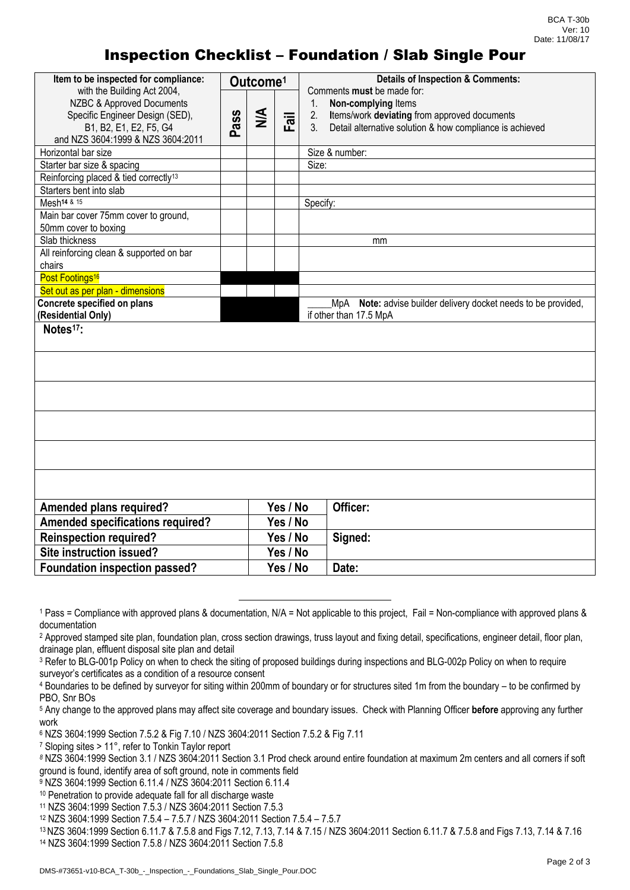## Inspection Checklist – Foundation / Slab Single Pour

| Item to be inspected for compliance:                                                                                                                       |      | Outcome <sup>1</sup> |             | <b>Details of Inspection &amp; Comments:</b>                                                                                                                                                         |
|------------------------------------------------------------------------------------------------------------------------------------------------------------|------|----------------------|-------------|------------------------------------------------------------------------------------------------------------------------------------------------------------------------------------------------------|
| with the Building Act 2004,<br>NZBC & Approved Documents<br>Specific Engineer Design (SED),<br>B1, B2, E1, E2, F5, G4<br>and NZS 3604:1999 & NZS 3604:2011 | Pass | $\leq$               | lig<br>Fail | Comments must be made for:<br>$1_{\cdot}$<br>Non-complying Items<br>Items/work deviating from approved documents<br>2.<br>Detail alternative solution & how compliance is achieved<br>3 <sub>l</sub> |
| Horizontal bar size                                                                                                                                        |      |                      |             | Size & number:                                                                                                                                                                                       |
| Starter bar size & spacing                                                                                                                                 |      |                      |             | Size:                                                                                                                                                                                                |
| Reinforcing placed & tied correctly <sup>13</sup>                                                                                                          |      |                      |             |                                                                                                                                                                                                      |
| Starters bent into slab                                                                                                                                    |      |                      |             |                                                                                                                                                                                                      |
| Mesh <sup>14 &amp; 15</sup>                                                                                                                                |      |                      |             | Specify:                                                                                                                                                                                             |
| Main bar cover 75mm cover to ground,<br>50mm cover to boxing                                                                                               |      |                      |             |                                                                                                                                                                                                      |
| Slab thickness                                                                                                                                             |      |                      |             | mm                                                                                                                                                                                                   |
| All reinforcing clean & supported on bar<br>chairs                                                                                                         |      |                      |             |                                                                                                                                                                                                      |
| Post Footings <sup>16</sup>                                                                                                                                |      |                      |             |                                                                                                                                                                                                      |
| Set out as per plan - dimensions                                                                                                                           |      |                      |             |                                                                                                                                                                                                      |
| Concrete specified on plans                                                                                                                                |      |                      |             | Note: advise builder delivery docket needs to be provided,<br>MpA                                                                                                                                    |
| (Residential Only)                                                                                                                                         |      |                      |             | if other than 17.5 MpA                                                                                                                                                                               |
| Notes <sup>17</sup> :                                                                                                                                      |      |                      |             |                                                                                                                                                                                                      |
|                                                                                                                                                            |      |                      |             |                                                                                                                                                                                                      |
|                                                                                                                                                            |      |                      |             |                                                                                                                                                                                                      |
|                                                                                                                                                            |      |                      |             |                                                                                                                                                                                                      |
|                                                                                                                                                            |      |                      |             |                                                                                                                                                                                                      |
|                                                                                                                                                            |      |                      |             |                                                                                                                                                                                                      |
| <b>Amended plans required?</b>                                                                                                                             |      |                      | Yes / No    | Officer:                                                                                                                                                                                             |
| <b>Amended specifications required?</b>                                                                                                                    |      |                      | Yes / No    |                                                                                                                                                                                                      |
| <b>Reinspection required?</b>                                                                                                                              |      |                      | Yes / No    | Signed:                                                                                                                                                                                              |
| Site instruction issued?                                                                                                                                   |      |                      | Yes / No    |                                                                                                                                                                                                      |
| Foundation inspection passed?                                                                                                                              |      |                      | Yes / No    | Date:                                                                                                                                                                                                |

<sup>1</sup> Pass = Compliance with approved plans & documentation, N/A = Not applicable to this project, Fail = Non-compliance with approved plans & documentation

<sup>&</sup>lt;sup>2</sup> Approved stamped site plan, foundation plan, cross section drawings, truss layout and fixing detail, specifications, engineer detail, floor plan, drainage plan, effluent disposal site plan and detail

<sup>3</sup> Refer to BLG-001p Policy on when to check the siting of proposed buildings during inspections and BLG-002p Policy on when to require surveyor's certificates as a condition of a resource consent

<sup>4</sup> Boundaries to be defined by surveyor for siting within 200mm of boundary or for structures sited 1m from the boundary – to be confirmed by PBO, Snr BOs

<sup>5</sup> Any change to the approved plans may affect site coverage and boundary issues. Check with Planning Officer **before** approving any further work

<sup>6</sup> NZS 3604:1999 Section 7.5.2 & Fig 7.10 / NZS 3604:2011 Section 7.5.2 & Fig 7.11

<sup>7</sup> Sloping sites > 11°, refer to Tonkin Taylor report

*<sup>8</sup>* NZS 3604:1999 Section 3.1 / NZS 3604:2011 Section 3.1 Prod check around entire foundation at maximum 2m centers and all corners if soft ground is found, identify area of soft ground, note in comments field

<sup>9</sup> NZS 3604:1999 Section 6.11.4 / NZS 3604:2011 Section 6.11.4

<sup>10</sup> Penetration to provide adequate fall for all discharge waste

<sup>11</sup> NZS 3604:1999 Section 7.5.3 / NZS 3604:2011 Section 7.5.3

<sup>12</sup> NZS 3604:1999 Section 7.5.4 – 7.5.7 / NZS 3604:2011 Section 7.5.4 – 7.5.7

<sup>13</sup> NZS 3604:1999 Section 6.11.7 & 7.5.8 and Figs 7.12, 7.13, 7.14 & 7.15 / NZS 3604:2011 Section 6.11.7 & 7.5.8 and Figs 7.13, 7.14 & 7.16 <sup>14</sup> NZS 3604:1999 Section 7.5.8 / NZS 3604:2011 Section 7.5.8